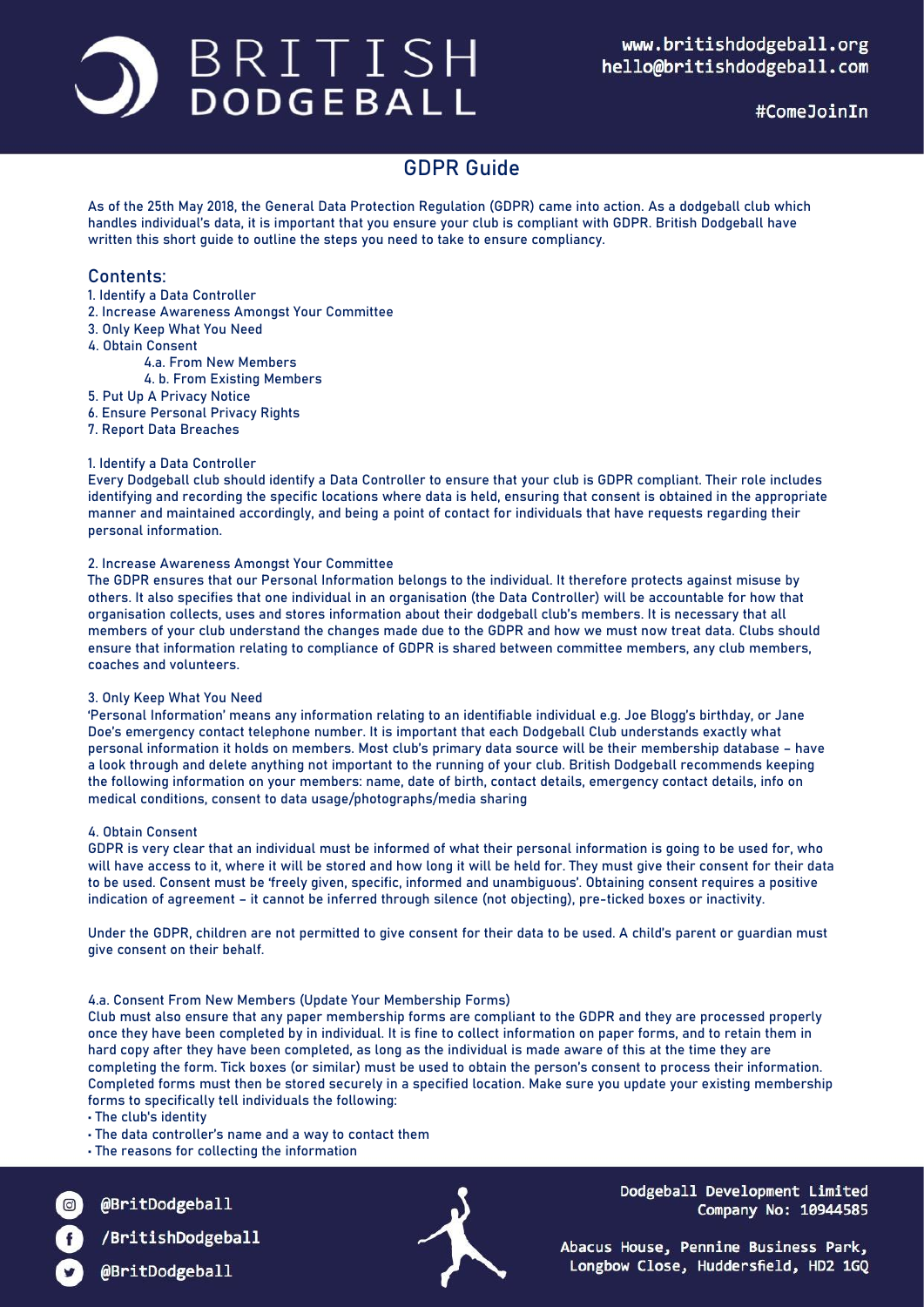# BRITISH<br>DODGEBALL

#ComeJoinIn

# GDPR Guide

As of the 25th May 2018, the General Data Protection Regulation (GDPR) came into action. As a dodgeball club which handles individual's data, it is important that you ensure your club is compliant with GDPR. British Dodgeball have written this short guide to outline the steps you need to take to ensure compliancy.

# Contents:

- 1. Identify a Data Controller
- 2. Increase Awareness Amongst Your Committee
- 3. Only Keep What You Need
- 4. Obtain Consent
	- 4.a. From New Members
	- 4. b. From Existing Members
- 5. Put Up A Privacy Notice
- 6. Ensure Personal Privacy Rights
- 7. Report Data Breaches

## 1. Identify a Data Controller

Every Dodgeball club should identify a Data Controller to ensure that your club is GDPR compliant. Their role includes identifying and recording the specific locations where data is held, ensuring that consent is obtained in the appropriate manner and maintained accordingly, and being a point of contact for individuals that have requests regarding their personal information.

## 2. Increase Awareness Amongst Your Committee

The GDPR ensures that our Personal Information belongs to the individual. It therefore protects against misuse by others. It also specifies that one individual in an organisation (the Data Controller) will be accountable for how that organisation collects, uses and stores information about their dodgeball club's members. It is necessary that all members of your club understand the changes made due to the GDPR and how we must now treat data. Clubs should ensure that information relating to compliance of GDPR is shared between committee members, any club members, coaches and volunteers.

## 3. Only Keep What You Need

'Personal Information' means any information relating to an identifiable individual e.g. Joe Blogg's birthday, or Jane Doe's emergency contact telephone number. It is important that each Dodgeball Club understands exactly what personal information it holds on members. Most club's primary data source will be their membership database – have a look through and delete anything not important to the running of your club. British Dodgeball recommends keeping the following information on your members: name, date of birth, contact details, emergency contact details, info on medical conditions, consent to data usage/photographs/media sharing

#### 4. Obtain Consent

GDPR is very clear that an individual must be informed of what their personal information is going to be used for, who will have access to it, where it will be stored and how long it will be held for. They must give their consent for their data to be used. Consent must be 'freely given, specific, informed and unambiguous'. Obtaining consent requires a positive indication of agreement – it cannot be inferred through silence (not objecting), pre-ticked boxes or inactivity.

Under the GDPR, children are not permitted to give consent for their data to be used. A child's parent or guardian must give consent on their behalf.

## 4.a. Consent From New Members (Update Your Membership Forms)

Club must also ensure that any paper membership forms are compliant to the GDPR and they are processed properly once they have been completed by in individual. It is fine to collect information on paper forms, and to retain them in hard copy after they have been completed, as long as the individual is made aware of this at the time they are completing the form. Tick boxes (or similar) must be used to obtain the person's consent to process their information. Completed forms must then be stored securely in a specified location. Make sure you update your existing membership forms to specifically tell individuals the following:

- The data controller's name and a way to contact them
- The reasons for collecting the information

@BritDodgeball

/BritishDodgeball

@BritDodgeball



Dodgeball Development Limited Company No: 10944585

Abacus House, Pennine Business Park, Longbow Close, Huddersfield, HD2 1GQ

<sup>•</sup> The club's identity